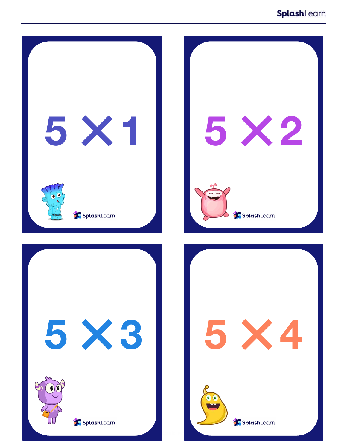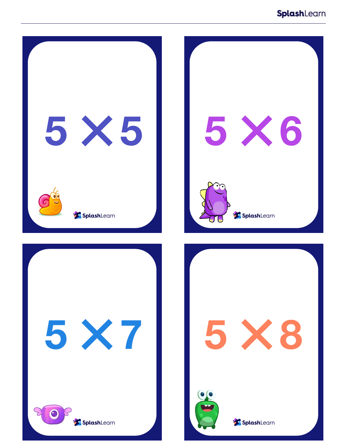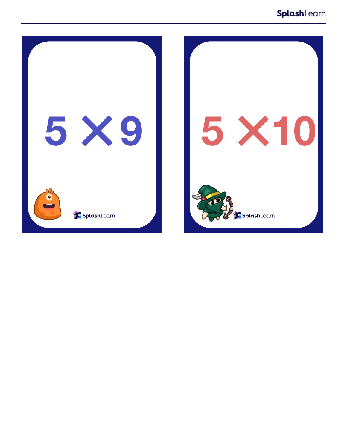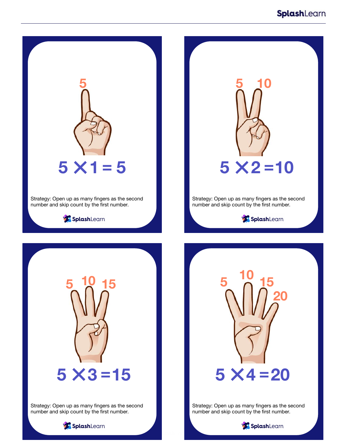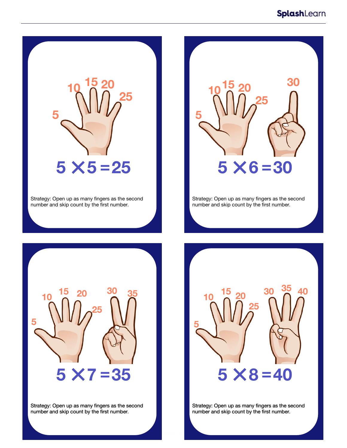

Strategy: Open up as many fingers as the second number and skip count by the first number.



Strategy: Open up as many fingers as the second number and skip count by the first number.



Strategy: Open up as many fingers as the second number and skip count by the first number.



Strategy: Open up as many fingers as the second number and skip count by the first number.